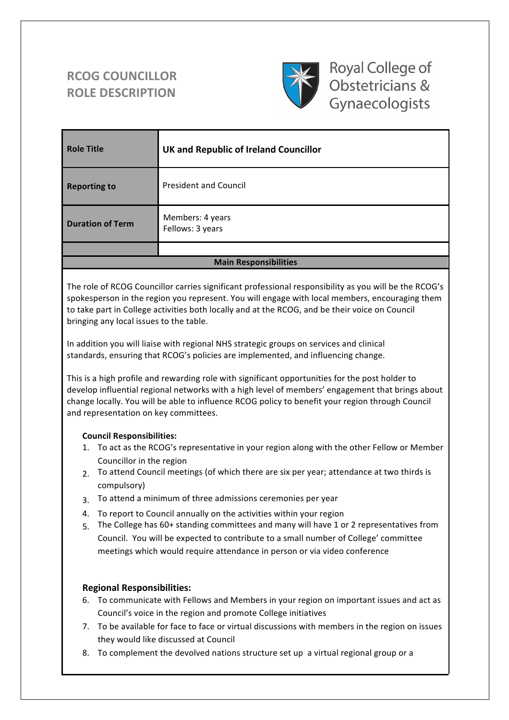# **RCOG COUNCILLOR ROLE DESCRIPTION**



Royal College of Obstetricians & Gynaecologists

| <b>Role Title</b>            | UK and Republic of Ireland Councillor |
|------------------------------|---------------------------------------|
| <b>Reporting to</b>          | <b>President and Council</b>          |
| <b>Duration of Term</b>      | Members: 4 years<br>Fellows: 3 years  |
|                              |                                       |
| <b>Main Responsibilities</b> |                                       |

The role of RCOG Councillor carries significant professional responsibility as you will be the RCOG's spokesperson in the region you represent. You will engage with local members, encouraging them to take part in College activities both locally and at the RCOG, and be their voice on Council bringing any local issues to the table.

In addition you will liaise with regional NHS strategic groups on services and clinical standards, ensuring that RCOG's policies are implemented, and influencing change.

This is a high profile and rewarding role with significant opportunities for the post holder to develop influential regional networks with a high level of members' engagement that brings about change locally. You will be able to influence RCOG policy to benefit your region through Council and representation on key committees.

## **Council Responsibilities:**

- 1. To act as the RCOG's representative in your region along with the other Fellow or Member Councillor in the region
- 2. To attend Council meetings (of which there are six per year; attendance at two thirds is compulsory)
- 3. To attend a minimum of three admissions ceremonies per year
- 4. To report to Council annually on the activities within your region
- 5. The College has 60+ standing committees and many will have 1 or 2 representatives from Council. You will be expected to contribute to a small number of College' committee meetings which would require attendance in person or via video conference

# **Regional Responsibilities:**

- 6. To communicate with Fellows and Members in your region on important issues and act as Council's voice in the region and promote College initiatives
- 7. To be available for face to face or virtual discussions with members in the region on issues they would like discussed at Council
- 8. To complement the devolved nations structure set up a virtual regional group or a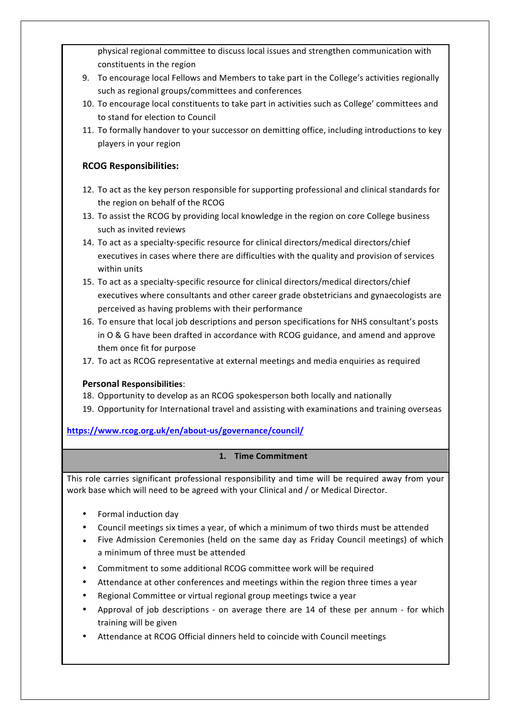physical regional committee to discuss local issues and strengthen communication with constituents in the region

- 9. To encourage local Fellows and Members to take part in the College's activities regionally such as regional groups/committees and conferences
- 10. To encourage local constituents to take part in activities such as College' committees and to stand for election to Council
- 11. To formally handover to your successor on demitting office, including introductions to key players in your region

## **RCOG Responsibilities:**

- 12. To act as the key person responsible for supporting professional and clinical standards for the region on behalf of the RCOG
- 13. To assist the RCOG by providing local knowledge in the region on core College business such as invited reviews
- 14. To act as a specialty-specific resource for clinical directors/medical directors/chief executives in cases where there are difficulties with the quality and provision of services within units
- 15. To act as a specialty-specific resource for clinical directors/medical directors/chief executives where consultants and other career grade obstetricians and gynaecologists are perceived as having problems with their performance
- 16. To ensure that local job descriptions and person specifications for NHS consultant's posts in O & G have been drafted in accordance with RCOG guidance, and amend and approve them once fit for purpose
- 17. To act as RCOG representative at external meetings and media enquiries as required

# **Personal Responsibilities**:

- 18. Opportunity to develop as an RCOG spokesperson both locally and nationally
- 19. Opportunity for International travel and assisting with examinations and training overseas

**https://www.rcog.org.uk/en/about-us/governance/council/**

## **1. Time Commitment**

This role carries significant professional responsibility and time will be required away from your work base which will need to be agreed with your Clinical and / or Medical Director.

- Formal induction day
- Council meetings six times a year, of which a minimum of two thirds must be attended
- Five Admission Ceremonies (held on the same day as Friday Council meetings) of which a minimum of three must be attended
- Commitment to some additional RCOG committee work will be required
- Attendance at other conferences and meetings within the region three times a year
- Regional Committee or virtual regional group meetings twice a year
- Approval of job descriptions on average there are 14 of these per annum for which training will be given
- Attendance at RCOG Official dinners held to coincide with Council meetings